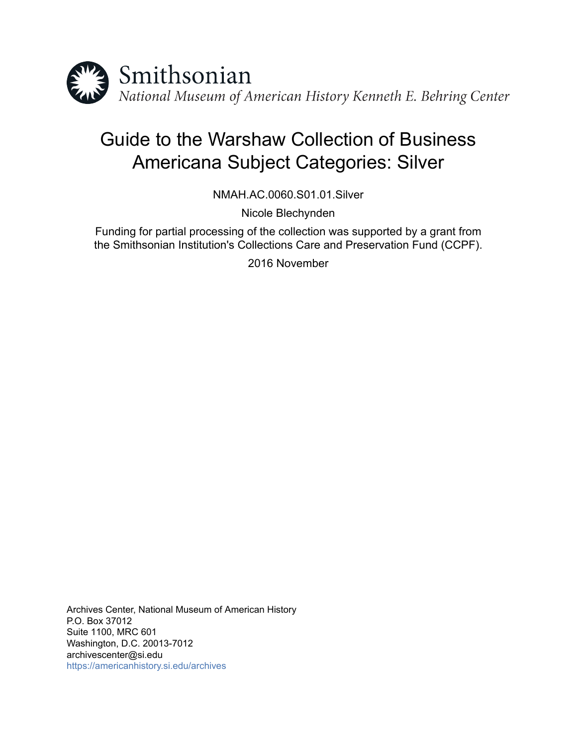

# Guide to the Warshaw Collection of Business Americana Subject Categories: Silver

NMAH.AC.0060.S01.01.Silver

Nicole Blechynden

Funding for partial processing of the collection was supported by a grant from the Smithsonian Institution's Collections Care and Preservation Fund (CCPF).

2016 November

Archives Center, National Museum of American History P.O. Box 37012 Suite 1100, MRC 601 Washington, D.C. 20013-7012 archivescenter@si.edu <https://americanhistory.si.edu/archives>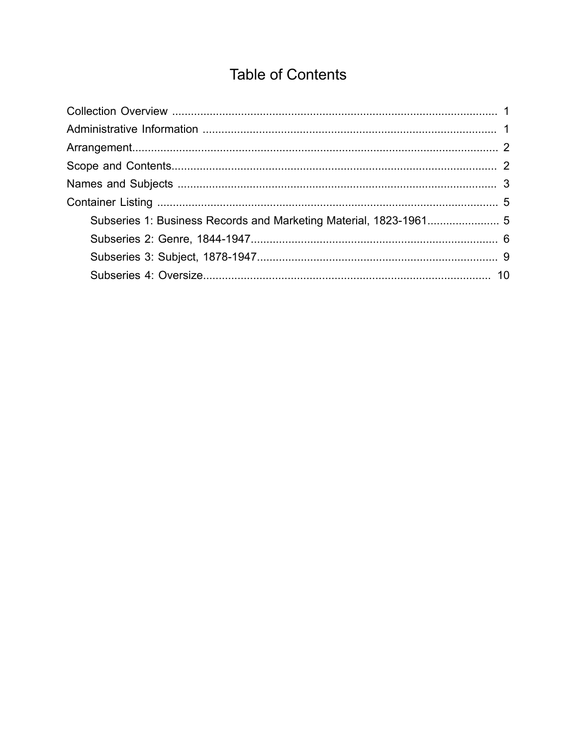## **Table of Contents**

<span id="page-1-0"></span>

| Subseries 1: Business Records and Marketing Material, 1823-1961 5 |  |
|-------------------------------------------------------------------|--|
|                                                                   |  |
|                                                                   |  |
|                                                                   |  |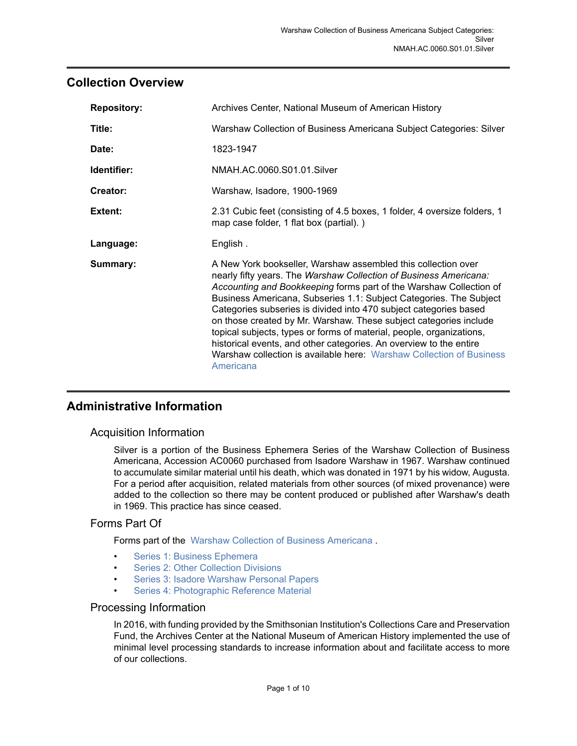## <span id="page-2-0"></span>**Collection Overview**

| <b>Repository:</b> | Archives Center, National Museum of American History                                                                                                                                                                                                                                                                                                                                                                                                                                                                                                                                                                                                        |  |
|--------------------|-------------------------------------------------------------------------------------------------------------------------------------------------------------------------------------------------------------------------------------------------------------------------------------------------------------------------------------------------------------------------------------------------------------------------------------------------------------------------------------------------------------------------------------------------------------------------------------------------------------------------------------------------------------|--|
| Title:             | Warshaw Collection of Business Americana Subject Categories: Silver                                                                                                                                                                                                                                                                                                                                                                                                                                                                                                                                                                                         |  |
| Date:              | 1823-1947                                                                                                                                                                                                                                                                                                                                                                                                                                                                                                                                                                                                                                                   |  |
| Identifier:        | NMAH.AC.0060.S01.01.Silver                                                                                                                                                                                                                                                                                                                                                                                                                                                                                                                                                                                                                                  |  |
| Creator:           | Warshaw, Isadore, 1900-1969                                                                                                                                                                                                                                                                                                                                                                                                                                                                                                                                                                                                                                 |  |
| Extent:            | 2.31 Cubic feet (consisting of 4.5 boxes, 1 folder, 4 oversize folders, 1<br>map case folder, 1 flat box (partial).)                                                                                                                                                                                                                                                                                                                                                                                                                                                                                                                                        |  |
| Language:          | English.                                                                                                                                                                                                                                                                                                                                                                                                                                                                                                                                                                                                                                                    |  |
| Summary:           | A New York bookseller, Warshaw assembled this collection over<br>nearly fifty years. The Warshaw Collection of Business Americana:<br>Accounting and Bookkeeping forms part of the Warshaw Collection of<br>Business Americana, Subseries 1.1: Subject Categories. The Subject<br>Categories subseries is divided into 470 subject categories based<br>on those created by Mr. Warshaw. These subject categories include<br>topical subjects, types or forms of material, people, organizations,<br>historical events, and other categories. An overview to the entire<br>Warshaw collection is available here: Warshaw Collection of Business<br>Americana |  |

## <span id="page-2-1"></span>**Administrative Information**

## Acquisition Information

Silver is a portion of the Business Ephemera Series of the Warshaw Collection of Business Americana, Accession AC0060 purchased from Isadore Warshaw in 1967. Warshaw continued to accumulate similar material until his death, which was donated in 1971 by his widow, Augusta. For a period after acquisition, related materials from other sources (of mixed provenance) were added to the collection so there may be content produced or published after Warshaw's death in 1969. This practice has since ceased.

## Forms Part Of

Forms part of the Warshaw Collection of Business [Americana](http://sova.si.edu/record/NMAH.AC.0060) .

- [Series 1: Business Ephemera](http://sova.si.edu/record/NMAH.AC.0060.S01)
- [Series 2: Other Collection Divisions](http://sova.si.edu/record/NMAH.AC.0060.S02)
- Series 3: Isadore [Warshaw](http://sova.si.edu/record/NMAH.AC.0060.S03) Personal Papers
- [Series 4: Photographic Reference Material](http://sova.si.edu/record/NMAH.AC.0060.S04)

#### Processing Information

In 2016, with funding provided by the Smithsonian Institution's Collections Care and Preservation Fund, the Archives Center at the National Museum of American History implemented the use of minimal level processing standards to increase information about and facilitate access to more of our collections.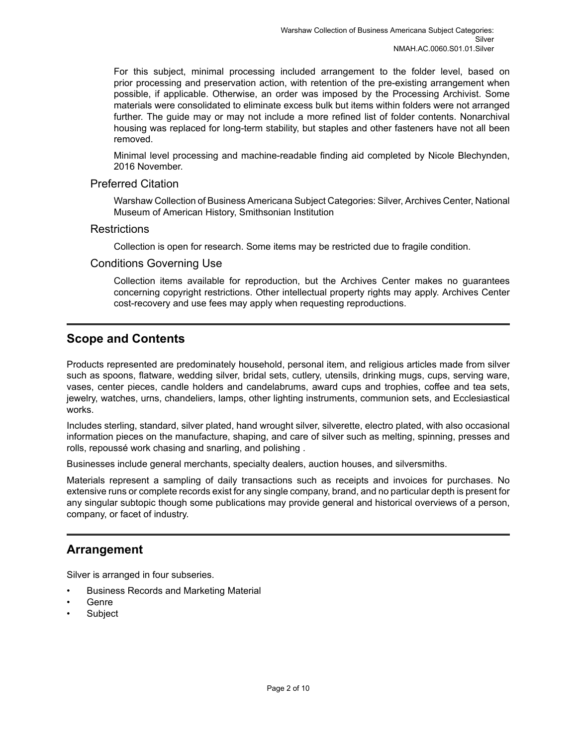For this subject, minimal processing included arrangement to the folder level, based on prior processing and preservation action, with retention of the pre-existing arrangement when possible, if applicable. Otherwise, an order was imposed by the Processing Archivist. Some materials were consolidated to eliminate excess bulk but items within folders were not arranged further. The guide may or may not include a more refined list of folder contents. Nonarchival housing was replaced for long-term stability, but staples and other fasteners have not all been removed.

Minimal level processing and machine-readable finding aid completed by Nicole Blechynden, 2016 November.

#### Preferred Citation

Warshaw Collectionof Business Americana Subject Categories: Silver, Archives Center, National Museum of American History, Smithsonian Institution

#### **Restrictions**

Collection is open for research. Some items may be restricted due to fragile condition.

#### Conditions Governing Use

Collection items available for reproduction, but the Archives Center makes no guarantees concerning copyright restrictions. Other intellectual property rights may apply. Archives Center cost-recovery and use fees may apply when requesting reproductions.

## <span id="page-3-1"></span>**Scope and Contents**

Products represented are predominately household, personal item, and religious articles made from silver such as spoons, flatware, wedding silver, bridal sets, cutlery, utensils, drinking mugs, cups, serving ware, vases, center pieces, candle holders and candelabrums, award cups and trophies, coffee and tea sets, jewelry, watches, urns, chandeliers, lamps, other lighting instruments, communion sets, and Ecclesiastical works.

Includes sterling, standard, silver plated, hand wrought silver, silverette, electro plated, with also occasional information pieces on the manufacture, shaping, and care of silver such as melting, spinning, presses and rolls, repoussé work chasing and snarling, and polishing .

Businesses include general merchants, specialty dealers, auction houses, and silversmiths.

Materials represent a sampling of daily transactions such as receipts and invoices for purchases. No extensive runs or complete records exist for any single company, brand, and no particular depth is present for any singular subtopic though some publications may provide general and historical overviews of a person, company, or facet of industry.

## <span id="page-3-0"></span>**Arrangement**

Silver is arranged in four subseries.

- Business Records and Marketing Material
- Genre
- **Subject**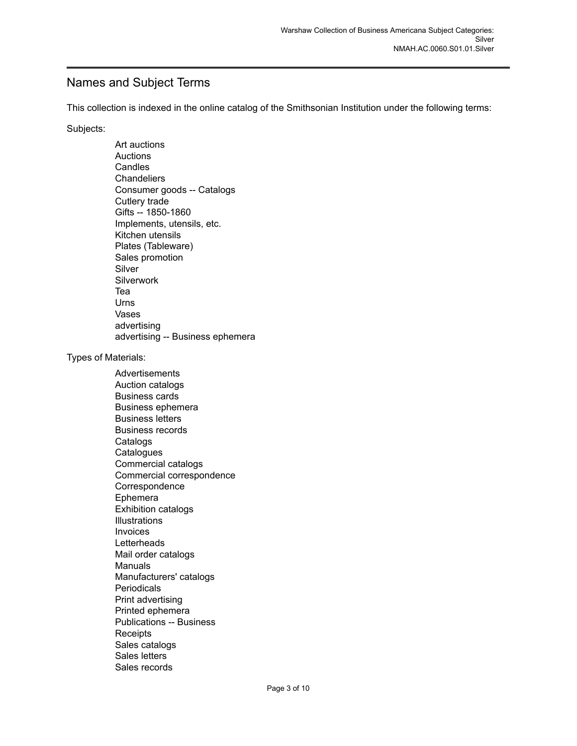## <span id="page-4-0"></span>Names and Subject Terms

This collection is indexed in the online catalog of the Smithsonian Institution under the following terms:

Subjects:

Art auctions Auctions **Candles Chandeliers** Consumer goods -- Catalogs Cutlery trade Gifts -- 1850-1860 Implements, utensils, etc. Kitchen utensils Plates (Tableware) Sales promotion Silver **Silverwork** Tea Urns Vases advertising advertising -- Business ephemera Types of Materials: Advertisements Auction catalogs Business cards Business ephemera Business letters Business records **Catalogs Catalogues** Commercial catalogs Commercial correspondence Correspondence Ephemera Exhibition catalogs Illustrations Invoices **Letterheads** Mail order catalogs Manuals Manufacturers' catalogs **Periodicals** Print advertising Printed ephemera Publications -- Business **Receipts** Sales catalogs Sales letters Sales records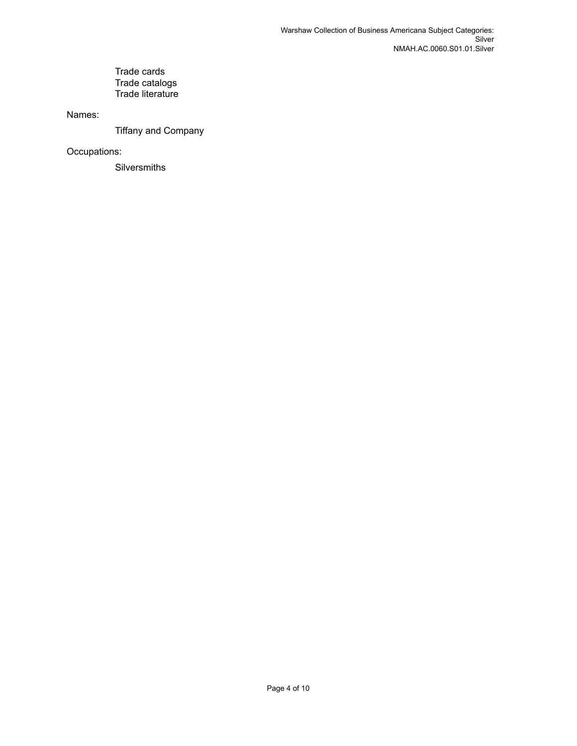#### Trade cards Trade catalogs Trade literature

Names:

Tiffany and Company

Occupations:

**Silversmiths**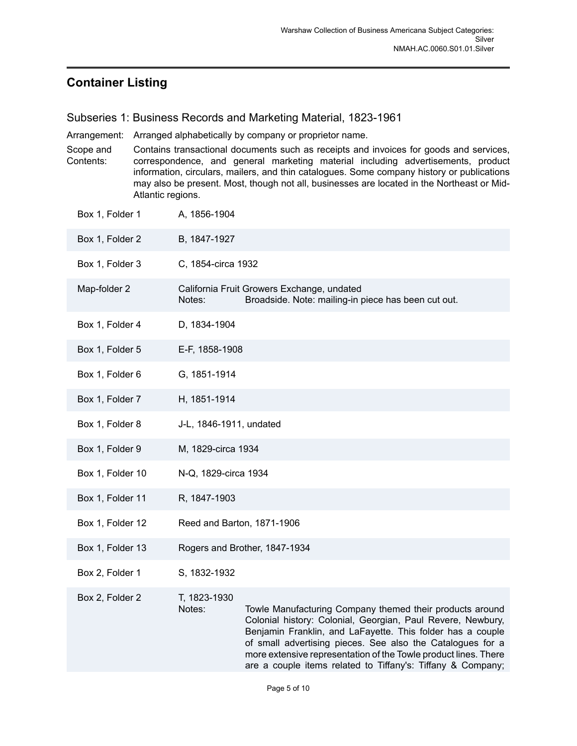## <span id="page-6-0"></span>**Container Listing**

<span id="page-6-1"></span>Subseries 1: Business Records and Marketing Material, 1823-1961

Arrangement: Arranged alphabetically by company or proprietor name.

Scope and Contents: Contains transactional documents such as receipts and invoices for goods and services, correspondence, and general marketing material including advertisements, product information, circulars, mailers, and thin catalogues. Some company history or publications may also be present. Most, though not all, businesses are located in the Northeast or Mid-Atlantic regions.

| Box 1, Folder 1  | A, 1856-1904                                                                                                                                                                                                                                                                                                                                                                                                    |
|------------------|-----------------------------------------------------------------------------------------------------------------------------------------------------------------------------------------------------------------------------------------------------------------------------------------------------------------------------------------------------------------------------------------------------------------|
| Box 1, Folder 2  | B, 1847-1927                                                                                                                                                                                                                                                                                                                                                                                                    |
| Box 1, Folder 3  | C, 1854-circa 1932                                                                                                                                                                                                                                                                                                                                                                                              |
| Map-folder 2     | California Fruit Growers Exchange, undated<br>Notes:<br>Broadside. Note: mailing-in piece has been cut out.                                                                                                                                                                                                                                                                                                     |
| Box 1, Folder 4  | D, 1834-1904                                                                                                                                                                                                                                                                                                                                                                                                    |
| Box 1, Folder 5  | E-F, 1858-1908                                                                                                                                                                                                                                                                                                                                                                                                  |
| Box 1, Folder 6  | G, 1851-1914                                                                                                                                                                                                                                                                                                                                                                                                    |
| Box 1, Folder 7  | H, 1851-1914                                                                                                                                                                                                                                                                                                                                                                                                    |
| Box 1, Folder 8  | J-L, 1846-1911, undated                                                                                                                                                                                                                                                                                                                                                                                         |
| Box 1, Folder 9  | M, 1829-circa 1934                                                                                                                                                                                                                                                                                                                                                                                              |
| Box 1, Folder 10 | N-Q, 1829-circa 1934                                                                                                                                                                                                                                                                                                                                                                                            |
| Box 1, Folder 11 | R, 1847-1903                                                                                                                                                                                                                                                                                                                                                                                                    |
| Box 1, Folder 12 | Reed and Barton, 1871-1906                                                                                                                                                                                                                                                                                                                                                                                      |
| Box 1, Folder 13 | Rogers and Brother, 1847-1934                                                                                                                                                                                                                                                                                                                                                                                   |
| Box 2, Folder 1  | S, 1832-1932                                                                                                                                                                                                                                                                                                                                                                                                    |
| Box 2, Folder 2  | T, 1823-1930<br>Notes:<br>Towle Manufacturing Company themed their products around<br>Colonial history: Colonial, Georgian, Paul Revere, Newbury,<br>Benjamin Franklin, and LaFayette. This folder has a couple<br>of small advertising pieces. See also the Catalogues for a<br>more extensive representation of the Towle product lines. There<br>are a couple items related to Tiffany's: Tiffany & Company; |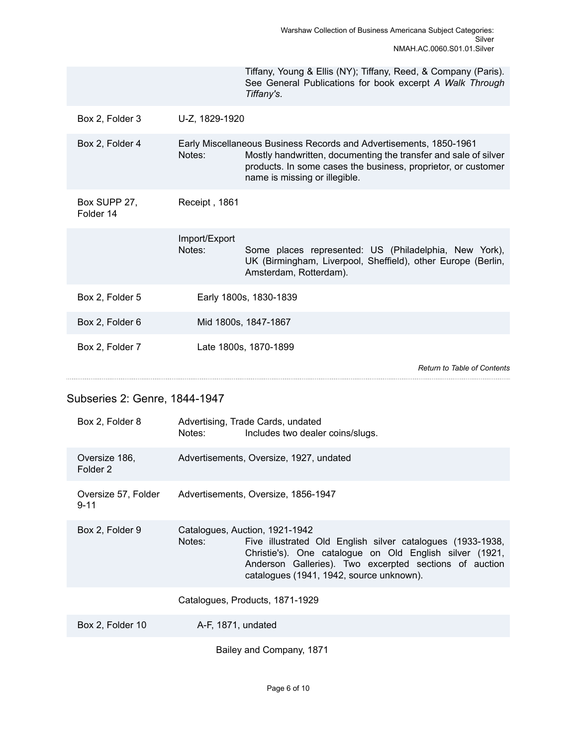|                           |                         | Tiffany, Young & Ellis (NY); Tiffany, Reed, & Company (Paris).<br>See General Publications for book excerpt A Walk Through<br>Tiffany's.                                                                                                |
|---------------------------|-------------------------|-----------------------------------------------------------------------------------------------------------------------------------------------------------------------------------------------------------------------------------------|
| Box 2, Folder 3           | U-Z, 1829-1920          |                                                                                                                                                                                                                                         |
| Box 2, Folder 4           | Notes:                  | Early Miscellaneous Business Records and Advertisements, 1850-1961<br>Mostly handwritten, documenting the transfer and sale of silver<br>products. In some cases the business, proprietor, or customer<br>name is missing or illegible. |
| Box SUPP 27,<br>Folder 14 | Receipt, 1861           |                                                                                                                                                                                                                                         |
|                           | Import/Export<br>Notes: | Some places represented: US (Philadelphia, New York),<br>UK (Birmingham, Liverpool, Sheffield), other Europe (Berlin,<br>Amsterdam, Rotterdam).                                                                                         |
| Box 2, Folder 5           |                         | Early 1800s, 1830-1839                                                                                                                                                                                                                  |
| Box 2, Folder 6           |                         | Mid 1800s, 1847-1867                                                                                                                                                                                                                    |
| Box 2, Folder 7           |                         | Late 1800s, 1870-1899                                                                                                                                                                                                                   |
|                           |                         | <b>Return to Table of Contents</b>                                                                                                                                                                                                      |

## <span id="page-7-0"></span>Subseries 2: Genre, 1844-1947

| Box 2, Folder 8                 | Advertising, Trade Cards, undated<br>Notes:<br>Includes two dealer coins/slugs.                                                                                                                                                                                         |
|---------------------------------|-------------------------------------------------------------------------------------------------------------------------------------------------------------------------------------------------------------------------------------------------------------------------|
| Oversize 186,<br>Folder 2       | Advertisements, Oversize, 1927, undated                                                                                                                                                                                                                                 |
| Oversize 57, Folder<br>$9 - 11$ | Advertisements, Oversize, 1856-1947                                                                                                                                                                                                                                     |
| Box 2, Folder 9                 | Catalogues, Auction, 1921-1942<br>Notes:<br>Five illustrated Old English silver catalogues (1933-1938,<br>Christie's). One catalogue on Old English silver (1921,<br>Anderson Galleries). Two excerpted sections of auction<br>catalogues (1941, 1942, source unknown). |
|                                 | Catalogues, Products, 1871-1929                                                                                                                                                                                                                                         |
| Box 2, Folder 10                | A-F, 1871, undated                                                                                                                                                                                                                                                      |
|                                 | Bailey and Company, 1871                                                                                                                                                                                                                                                |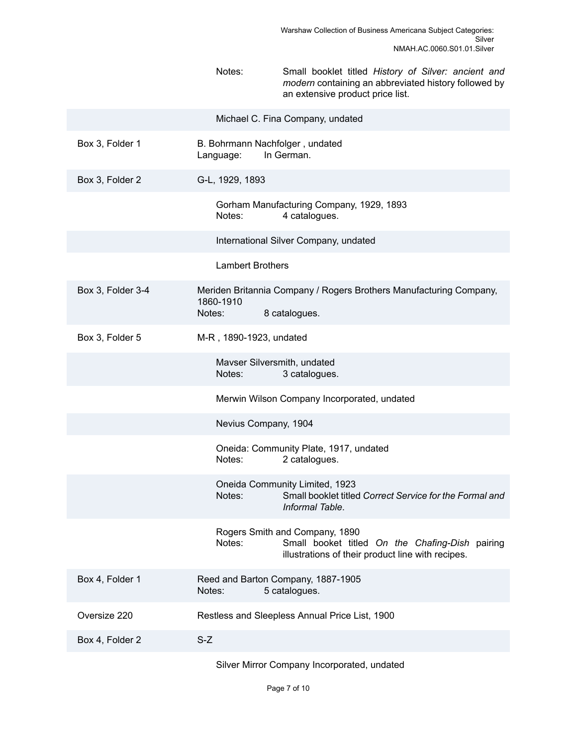|                   | Notes:<br>Small booklet titled History of Silver: ancient and<br>modern containing an abbreviated history followed by<br>an extensive product price list. |
|-------------------|-----------------------------------------------------------------------------------------------------------------------------------------------------------|
|                   | Michael C. Fina Company, undated                                                                                                                          |
| Box 3, Folder 1   | B. Bohrmann Nachfolger, undated<br>In German.<br>Language:                                                                                                |
| Box 3, Folder 2   | G-L, 1929, 1893                                                                                                                                           |
|                   | Gorham Manufacturing Company, 1929, 1893<br>Notes:<br>4 catalogues.                                                                                       |
|                   | International Silver Company, undated                                                                                                                     |
|                   | <b>Lambert Brothers</b>                                                                                                                                   |
| Box 3, Folder 3-4 | Meriden Britannia Company / Rogers Brothers Manufacturing Company,<br>1860-1910<br>Notes:<br>8 catalogues.                                                |
| Box 3, Folder 5   | M-R, 1890-1923, undated                                                                                                                                   |
|                   | Mavser Silversmith, undated<br>Notes:<br>3 catalogues.                                                                                                    |
|                   | Merwin Wilson Company Incorporated, undated                                                                                                               |
|                   | Nevius Company, 1904                                                                                                                                      |
|                   | Oneida: Community Plate, 1917, undated<br>Notes:<br>2 catalogues.                                                                                         |
|                   | Oneida Community Limited, 1923<br>Small booklet titled Correct Service for the Formal and<br>Notes:<br>Informal Table.                                    |
|                   | Rogers Smith and Company, 1890<br>Notes:<br>Small booket titled On the Chafing-Dish pairing<br>illustrations of their product line with recipes.          |
| Box 4, Folder 1   | Reed and Barton Company, 1887-1905<br>5 catalogues.<br>Notes:                                                                                             |
| Oversize 220      | Restless and Sleepless Annual Price List, 1900                                                                                                            |
| Box 4, Folder 2   | $S-Z$                                                                                                                                                     |
|                   | Silver Mirror Company Incorporated, undated                                                                                                               |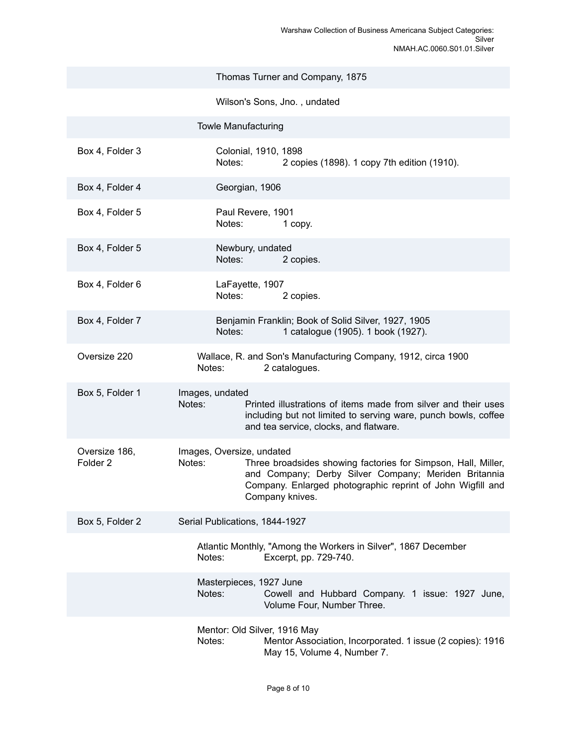|                                      | Thomas Turner and Company, 1875                                                                                                                                                                                                               |
|--------------------------------------|-----------------------------------------------------------------------------------------------------------------------------------------------------------------------------------------------------------------------------------------------|
|                                      | Wilson's Sons, Jno., undated                                                                                                                                                                                                                  |
|                                      | <b>Towle Manufacturing</b>                                                                                                                                                                                                                    |
| Box 4, Folder 3                      | Colonial, 1910, 1898<br>Notes:<br>2 copies (1898). 1 copy 7th edition (1910).                                                                                                                                                                 |
| Box 4, Folder 4                      | Georgian, 1906                                                                                                                                                                                                                                |
| Box 4, Folder 5                      | Paul Revere, 1901<br>Notes:<br>1 copy.                                                                                                                                                                                                        |
| Box 4, Folder 5                      | Newbury, undated<br>Notes:<br>2 copies.                                                                                                                                                                                                       |
| Box 4, Folder 6                      | LaFayette, 1907<br>Notes:<br>2 copies.                                                                                                                                                                                                        |
| Box 4, Folder 7                      | Benjamin Franklin; Book of Solid Silver, 1927, 1905<br>1 catalogue (1905). 1 book (1927).<br>Notes:                                                                                                                                           |
| Oversize 220                         | Wallace, R. and Son's Manufacturing Company, 1912, circa 1900<br>2 catalogues.<br>Notes:                                                                                                                                                      |
| Box 5, Folder 1                      | Images, undated<br>Notes:<br>Printed illustrations of items made from silver and their uses<br>including but not limited to serving ware, punch bowls, coffee<br>and tea service, clocks, and flatware.                                       |
| Oversize 186,<br>Folder <sub>2</sub> | Images, Oversize, undated<br>Notes:<br>Three broadsides showing factories for Simpson, Hall, Miller,<br>and Company; Derby Silver Company; Meriden Britannia<br>Company. Enlarged photographic reprint of John Wigfill and<br>Company knives. |
| Box 5, Folder 2                      | Serial Publications, 1844-1927                                                                                                                                                                                                                |
|                                      | Atlantic Monthly, "Among the Workers in Silver", 1867 December<br>Notes:<br>Excerpt, pp. 729-740.                                                                                                                                             |
|                                      | Masterpieces, 1927 June<br>Notes:<br>Cowell and Hubbard Company. 1 issue: 1927 June,<br>Volume Four, Number Three.                                                                                                                            |
|                                      | Mentor: Old Silver, 1916 May<br>Notes:<br>Mentor Association, Incorporated. 1 issue (2 copies): 1916<br>May 15, Volume 4, Number 7.                                                                                                           |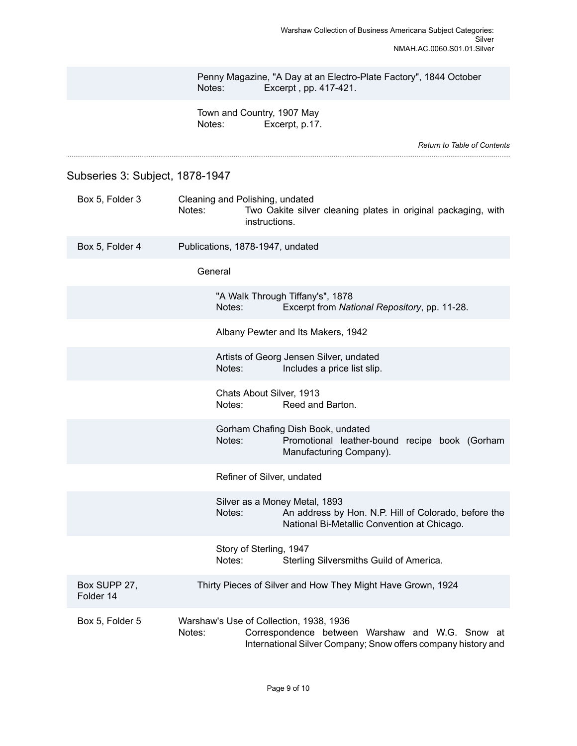|        | Penny Magazine, "A Day at an Electro-Plate Factory", 1844 October |
|--------|-------------------------------------------------------------------|
| Notes: | Excerpt, pp. 417-421.                                             |

Town and Country, 1907 May Notes: Excerpt, p.17.

*Return to Table of [Contents](#page-1-0)*

<span id="page-10-0"></span>Subseries 3: Subject, 1878-1947

| Box 5, Folder 3           | Cleaning and Polishing, undated<br>Notes:<br>Two Oakite silver cleaning plates in original packaging, with<br>instructions.                                           |
|---------------------------|-----------------------------------------------------------------------------------------------------------------------------------------------------------------------|
| Box 5, Folder 4           | Publications, 1878-1947, undated                                                                                                                                      |
|                           | General                                                                                                                                                               |
|                           | "A Walk Through Tiffany's", 1878<br>Notes:<br>Excerpt from National Repository, pp. 11-28.                                                                            |
|                           | Albany Pewter and Its Makers, 1942                                                                                                                                    |
|                           | Artists of Georg Jensen Silver, undated<br>Notes:<br>Includes a price list slip.                                                                                      |
|                           | Chats About Silver, 1913<br>Notes:<br>Reed and Barton.                                                                                                                |
|                           | Gorham Chafing Dish Book, undated<br>Notes:<br>Promotional leather-bound recipe book (Gorham<br>Manufacturing Company).                                               |
|                           | Refiner of Silver, undated                                                                                                                                            |
|                           | Silver as a Money Metal, 1893<br>Notes:<br>An address by Hon. N.P. Hill of Colorado, before the<br>National Bi-Metallic Convention at Chicago.                        |
|                           | Story of Sterling, 1947<br>Notes:<br>Sterling Silversmiths Guild of America.                                                                                          |
| Box SUPP 27,<br>Folder 14 | Thirty Pieces of Silver and How They Might Have Grown, 1924                                                                                                           |
| Box 5, Folder 5           | Warshaw's Use of Collection, 1938, 1936<br>Notes:<br>Correspondence between Warshaw and W.G. Snow at<br>International Silver Company; Snow offers company history and |